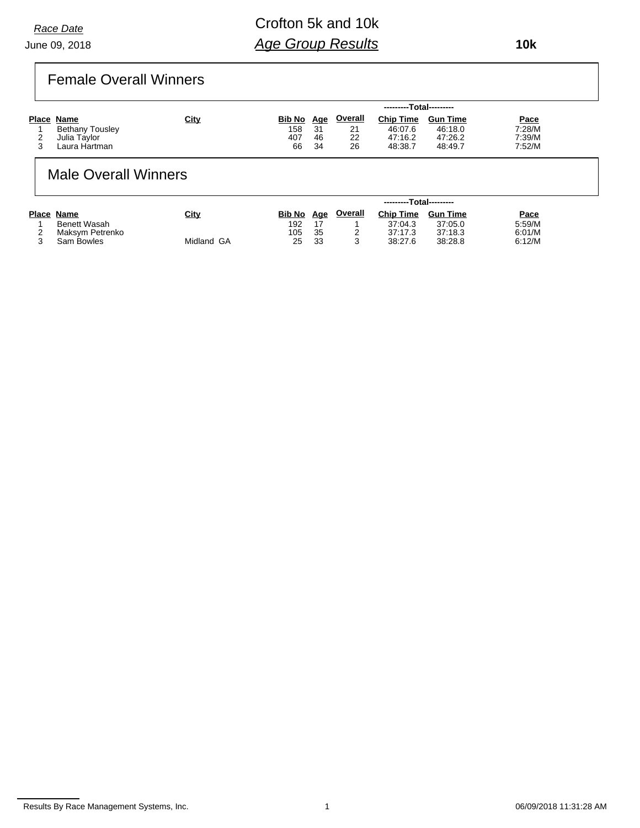June 09, 2018 *Race Date*

# Crofton 5k and 10k *Age Group Results*

 **10k**

## Female Overall Winners

|   |                        |      | ---------Total--------- |            |                |                  |                 |             |  |
|---|------------------------|------|-------------------------|------------|----------------|------------------|-----------------|-------------|--|
|   | Place Name             | City | <b>Bib No</b>           | <b>Age</b> | <b>Overall</b> | <b>Chip Time</b> | <b>Gun Time</b> | <u>Pace</u> |  |
|   | <b>Bethany Tousley</b> |      | 158                     | 31         | 21             | 46:07.6          | 46:18.0         | 7:28/M      |  |
| - | Julia Tavlor           |      | 407                     | 46         | 22             | 47:16.2          | 47:26.2         | 7:39/M      |  |
|   | Laura Hartman          |      | 66                      | 34         | 26             | 48:38.7          | 48:49.7         | 7:52/M      |  |

# Male Overall Winners

|                     |             |               | ---------Total--------- |         |                  |                 |        |  |  |
|---------------------|-------------|---------------|-------------------------|---------|------------------|-----------------|--------|--|--|
| Place Name          | <u>City</u> | <b>Bib No</b> | Age                     | Overall | <b>Chip Time</b> | <b>Gun Time</b> | Pace   |  |  |
| <b>Benett Wasah</b> |             | 192           |                         |         | 37:04.3          | 37:05.0         | 5:59/M |  |  |
| Maksvm Petrenko     |             | 105           | 35                      |         | 37:17.3          | 37:18.3         | 6:01/M |  |  |
| Sam Bowles          | Midland GA  | 25            | 33                      | ◠       | 38:27.6          | 38:28.8         | 6:12/M |  |  |

Results By Race Management Systems, Inc. 1 1 and 1 06/09/2018 11:31:28 AM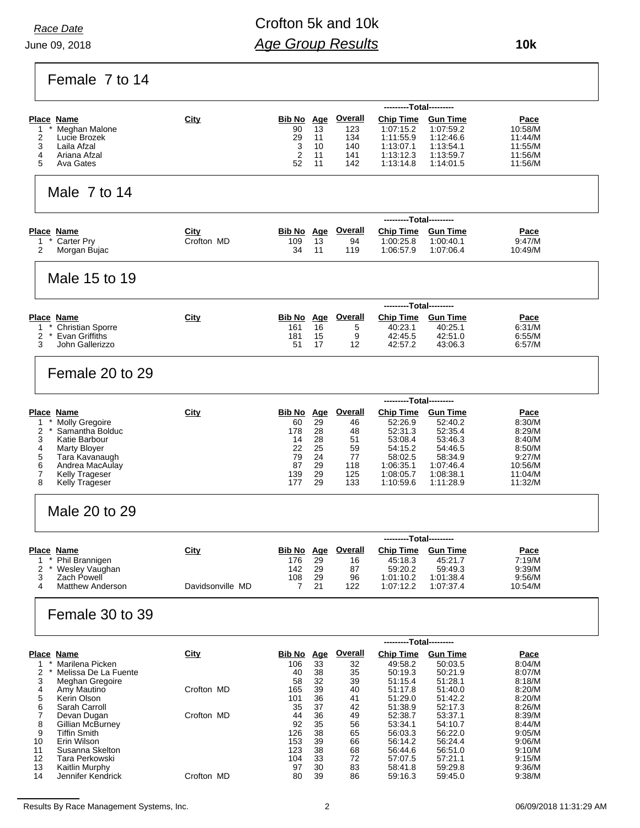*Race Date*

### Crofton 5k and 10k *Age Group Results*

June 09, 2018

Female 7 to 14

**Age City City Bib No Age Overall Chip Time ---------Total--------- Place** Name **Bib No** Age Overall Chip Time Gun Time **Pace** Pace 1 \* Meghan Malone 90 13 123 1:07:15.2 1:07:59.2 10:58/M 2 Lucie Brozek 29 11 134 1:11:55.9 1:12:46.6 11:44/M 3 Laila Afzal 3 10 140 1:13:07.1 1:13:54.1 11:55/M 4 Ariana Afzal 2 11 141 1:13:12.3 1:13:59.7 11:56/M 5 Ava Gates 52 11 142 1:13:14.8 1:14:01.5 11:56/M **Name Age Chip Time City Overall ---------Total--------- Place Bib No Gun Time Pace** Male 7 to 14 1 \* Carter Pry Crofton MD 109 13 94 1:00:25.8 1:00:40.1 9:47/M 2 Morgan Bujac 34 11 119 1:06:57.9 1:07:06.4 10:49/M **Name is the Supple Chip Time** Bib No Age Overall Chip Time **---------Total--------- Place** Name **Bib No** Age Overall Chip Time Gun Time **Pace** Pace Male 15 to 19 **Bib No** 1 \* Christian Sporre 16:31/M<br>
1 \* Christian Sporre 161 16 5 40:23.1 40:25.1 6:31/M<br>
16 16 5 42:45.5 42:51.0 6:55/M 2 \* Evan Griffiths 181 15 9 42:45.5 42:51.0 6:55/M 3 John Gallerizzo 51 17 12 42:57.2 43:06.3 6:57/M **<u>Place Name</u><br>
1 \* Molly Gregoire**<br>
1 \* Molly Gregoire<br> **Age City**<br> **Age Chip College Contract College College Age College College Age 52:26.9** --Total-**Place Bib No Gun Time Pace** Female 20 to 29 **<u>Bib No</u>** 1 \* Molly Gregoire 60 29 46 52:26.9 52:40.2 8:30/M 2 \* Samantha Bolduc 178 28 48 52:31.3 52:35.4 8:29/M 3 Katie Barbour 14 28 51 53:08.4 53:46.3 8:40/M 4 Marty Bloyer 22 25 59 54:15.2 54:46.5 8:50/M 5 Tara Kavanaugh 79 24 77 58:02.5 58:34.9 9:27/M 6 Andrea MacAulay 87 29 118 1:06:35.1 1:07:46.4 10:56/M 7 Kelly Trageser 139 29 125 1:08:05.7 1:08:38.1 11:04/M 8 Kelly Trageser 177 29 133 1:10:59.6 1:11:28.9 11:32/M **<u>Place Name</u> <b>Age City**<br>
1 \* Phil Brannigen **Agele 11** Chip Time<br>
176 29 16 45:18.3 -Total-**Place Bib No Gun Time Pace** Male 20 to 29 **Bib No** 1 \* Phil Brannigen 176 29 16 45:18.3 45:21.7 7:19/M 2 \* Wesley Vaughan 142 29 87 59:20.2 59:49.3 9:39/M 3 Zach Powell 108 29 96 1:01:10.2 1:01:38.4 9:56/M 4 Matthew Anderson Davidsonville MD 7 21 122 1:07:12.2 1:07:37.4 10:54/M **Place Name City Chip Time Chip Time Constant Pace Pace ---------Total---------** Female 30 to 39 1 \* Marilena Picken 106 33 32 49:58.2 50:03.5 8:04/M 2 \* Melissa De La Fuente 40 38 35 50:19.3 50:21.9 8:07/M 3 Meghan Gregoire 58 32 39 51:15.4 51:28.1 8:18/M 4 Amy Mautino Crofton MD 165 39 40 51:17.8 51:40.0 8:20/M 5 Kerin Olson 101 36 41 51:29.0 51:42.2 8:20/M 6 Sarah Carroll 35 37 42 51:38.9 52:17.3 8:26/M 7 Devan Dugan Crofton MD 44 36 49 52:38.7 53:37.1 8:39/M 8 Gillian McBurney 92 35 56 53:34.1 54:10.7 8:44/M 9 Tiffin Smith 126 38 65 56:03.3 56:22.0 9:05/M 10 Erin Wilson 153 39 66 56:14.2 56:24.4 9:06/M 11 Susanna Skelton 123 38 68 56:44.6 56:51.0 9:10/M 12 Tara Perkowski 104 33 72 57:07.5 57:21.1 9:15/M 13 Kaitlin Murphy 97 30 83 58:41.8 59:29.8 9:36/M 14 Jennifer Kendrick Crofton MD 80 39 86 59:16.3 59:45.0 9:38/M

Results By Race Management Systems, Inc. 2 06/09/2018 11:31:29 AM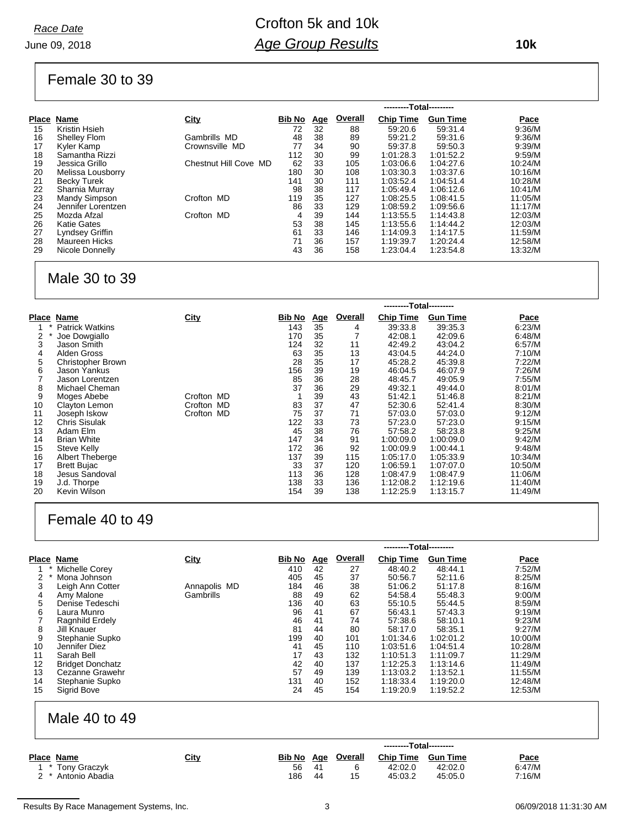# Crofton 5k and 10k *Age Group Results*

Female 30 to 39

|       |                      |                       | ---------Total--------- |            |         |                  |                 |         |  |  |
|-------|----------------------|-----------------------|-------------------------|------------|---------|------------------|-----------------|---------|--|--|
| Place | Name                 | <u>City</u>           | <b>Bib No</b>           | <u>Age</u> | Overall | <b>Chip Time</b> | <b>Gun Time</b> | Pace    |  |  |
| 15    | Kristin Hsieh        |                       | 72                      | 32         | 88      | 59:20.6          | 59:31.4         | 9:36/M  |  |  |
| 16    | <b>Shelley Flom</b>  | Gambrills MD          | 48                      | 38         | 89      | 59:21.2          | 59:31.6         | 9:36/M  |  |  |
| 17    | Kyler Kamp           | Crownsville MD        | 77                      | 34         | 90      | 59:37.8          | 59:50.3         | 9:39/M  |  |  |
| 18    | Samantha Rizzi       |                       | 112                     | 30         | 99      | 1:01:28.3        | 1:01:52.2       | 9:59/M  |  |  |
| 19    | Jessica Grillo       | Chestnut Hill Cove MD | 62                      | 33         | 105     | 1:03:06.6        | 1:04:27.6       | 10:24/M |  |  |
| 20    | Melissa Lousborry    |                       | 180                     | 30         | 108     | 1:03:30.3        | 1:03:37.6       | 10:16/M |  |  |
| 21    | <b>Becky Turek</b>   |                       | 141                     | 30         | 111     | 1:03:52.4        | 1:04:51.4       | 10:28/M |  |  |
| 22    | Sharnia Murray       |                       | 98                      | 38         | 117     | 1:05:49.4        | 1:06:12.6       | 10:41/M |  |  |
| 23    | <b>Mandy Simpson</b> | Crofton MD            | 119                     | 35         | 127     | 1:08:25.5        | 1:08:41.5       | 11:05/M |  |  |
| 24    | Jennifer Lorentzen   |                       | 86                      | 33         | 129     | 1:08:59.2        | 1:09:56.6       | 11:17/M |  |  |
| 25    | Mozda Afzal          | Crofton MD            | 4                       | 39         | 144     | 1:13:55.5        | 1:14:43.8       | 12:03/M |  |  |
| 26    | <b>Katie Gates</b>   |                       | 53                      | 38         | 145     | 1:13:55.6        | 1:14:44.2       | 12:03/M |  |  |
| 27    | Lyndsey Griffin      |                       | 61                      | 33         | 146     | 1:14:09.3        | 1:14:17.5       | 11:59/M |  |  |
| 28    | <b>Maureen Hicks</b> |                       | 71                      | 36         | 157     | 1:19:39.7        | 1:20:24.4       | 12:58/M |  |  |
| 29    | Nicole Donnelly      |                       | 43                      | 36         | 158     | 1:23:04.4        | 1.23:54.8       | 13:32/M |  |  |

# Male 30 to 39

|    |                        |            | ---------Total--------- |            |         |                  |                 |             |  |
|----|------------------------|------------|-------------------------|------------|---------|------------------|-----------------|-------------|--|
|    | Place Name             | City       | <u>Bib No</u>           | <u>Age</u> | Overall | <b>Chip Time</b> | <b>Gun Time</b> | <b>Pace</b> |  |
|    | <b>Patrick Watkins</b> |            | 143                     | 35         | 4       | 39:33.8          | 39:35.3         | 6:23/M      |  |
| 2  | Joe Dowgiallo          |            | 170                     | 35         |         | 42:08.1          | 42:09.6         | 6:48/M      |  |
| 3  | Jason Smith            |            | 124                     | 32         | 11      | 42:49.2          | 43:04.2         | 6.57/M      |  |
| 4  | Alden Gross            |            | 63                      | 35         | 13      | 43:04.5          | 44:24.0         | 7:10/M      |  |
| 5  | Christopher Brown      |            | 28                      | 35         | 17      | 45:28.2          | 45:39.8         | 7:22/M      |  |
| 6  | Jason Yankus           |            | 156                     | 39         | 19      | 46:04.5          | 46:07.9         | 7:26/M      |  |
|    | Jason Lorentzen        |            | 85                      | 36         | 28      | 48:45.7          | 49:05.9         | 7:55/M      |  |
| 8  | Michael Cheman         |            | 37                      | 36         | 29      | 49:32.1          | 49:44.0         | 8:01/M      |  |
| 9  | Moges Abebe            | Crofton MD |                         | 39         | 43      | 51:42.1          | 51:46.8         | 8:21/M      |  |
| 10 | Clayton Lemon          | Crofton MD | 83                      | 37         | 47      | 52:30.6          | 52:41.4         | 8:30/M      |  |
| 11 | Joseph Iskow           | Crofton MD | 75                      | 37         | 71      | 57:03.0          | 57:03.0         | 9:12/M      |  |
| 12 | Chris Sisulak          |            | 122                     | 33         | 73      | 57:23.0          | 57:23.0         | 9:15/M      |  |
| 13 | Adam Elm               |            | 45                      | 38         | 76      | 57:58.2          | 58:23.8         | 9:25/M      |  |
| 14 | <b>Brian White</b>     |            | 147                     | 34         | 91      | 1:00:09.0        | 1:00:09.0       | 9:42/M      |  |
| 15 | Steve Kelly            |            | 172                     | 36         | 92      | 1:00:09.9        | 1:00:44.1       | 9:48/M      |  |
| 16 | Albert Theberge        |            | 137                     | 39         | 115     | 1:05:17.0        | 1:05:33.9       | 10:34/M     |  |
| 17 | <b>Brett Bujac</b>     |            | 33                      | 37         | 120     | 1:06:59.1        | 1:07:07.0       | 10:50/M     |  |
| 18 | Jesus Sandoval         |            | 113                     | 36         | 128     | 1:08:47.9        | 1:08:47.9       | 11:06/M     |  |
| 19 | J.d. Thorpe            |            | 138                     | 33         | 136     | 1:12:08.2        | 1:12:19.6       | 11:40/M     |  |
| 20 | Kevin Wilson           |            | 154                     | 39         | 138     | 1:12:25.9        | 1.13.15.7       | 11:49/M     |  |

# Female 40 to 49

|    |                         |              | ---------Total--------- |            |                |                  |                 |         |  |
|----|-------------------------|--------------|-------------------------|------------|----------------|------------------|-----------------|---------|--|
|    | Place Name              | City         | <b>Bib No</b>           | <u>Age</u> | <b>Overall</b> | <b>Chip Time</b> | <b>Gun Time</b> | Pace    |  |
|    | <b>Michelle Corey</b>   |              | 410                     | 42         | 27             | 48:40.2          | 48:44.1         | 7:52/M  |  |
|    | Mona Johnson            |              | 405                     | 45         | 37             | 50:56.7          | 52:11.6         | 8:25/M  |  |
| 3  | Leigh Ann Cotter        | Annapolis MD | 184                     | 46         | 38             | 51:06.2          | 51:17.8         | 8:16/M  |  |
| 4  | Amy Malone              | Gambrills    | 88                      | 49         | 62             | 54:58.4          | 55:48.3         | 9:00/M  |  |
| 5  | Denise Tedeschi         |              | 136                     | 40         | 63             | 55:10.5          | 55:44.5         | 8:59/M  |  |
| 6  | Laura Munro             |              | 96                      | 41         | 67             | 56:43.1          | 57:43.3         | 9:19/M  |  |
|    | Ragnhild Erdely         |              | 46                      | 41         | 74             | 57:38.6          | 58:10.1         | 9:23/M  |  |
| 8  | Jill Knauer             |              | 81                      | 44         | 80             | 58:17.0          | 58:35.1         | 9:27/M  |  |
| 9  | Stephanie Supko         |              | 199                     | 40         | 101            | 1:01:34.6        | 1:02:01.2       | 10:00/M |  |
| 10 | Jennifer Diez           |              | 41                      | 45         | 110            | 1:03:51.6        | 1:04:51.4       | 10:28/M |  |
| 11 | Sarah Bell              |              | 17                      | 43         | 132            | 1:10:51.3        | 1:11:09.7       | 11:29/M |  |
| 12 | <b>Bridget Donchatz</b> |              | 42                      | 40         | 137            | 1:12:25.3        | 1:13:14.6       | 11:49/M |  |
| 13 | Cezanne Grawehr         |              | 57                      | 49         | 139            | 1:13:03.2        | 1:13:52.1       | 11:55/M |  |
| 14 | Stephanie Supko         |              | 131                     | 40         | 152            | 1:18:33.4        | 1:19:20.0       | 12:48/M |  |
| 15 | Sigrid Bove             |              | 24                      | 45         | 154            | 1:19:20.9        | 1:19:52.2       | 12:53/M |  |

Male 40 to 49

|                    |             | ---------Total--------- |     |                |                  |                 |        |  |
|--------------------|-------------|-------------------------|-----|----------------|------------------|-----------------|--------|--|
| Place Name         | <u>City</u> | <b>Bib No</b>           | Age | <b>Overall</b> | <b>Chip Time</b> | <b>Gun Time</b> | Pace   |  |
| 1 * Tony Graczyk   |             | 56                      | 41  |                | 42:02.0          | 42:02.0         | 6:47/M |  |
| 2 * Antonio Abadia |             | 186                     | 44  | 15             | 45:03.2          | 45:05.0         | 7:16/M |  |

Results By Race Management Systems, Inc. 2008/2018 11:31:30 AM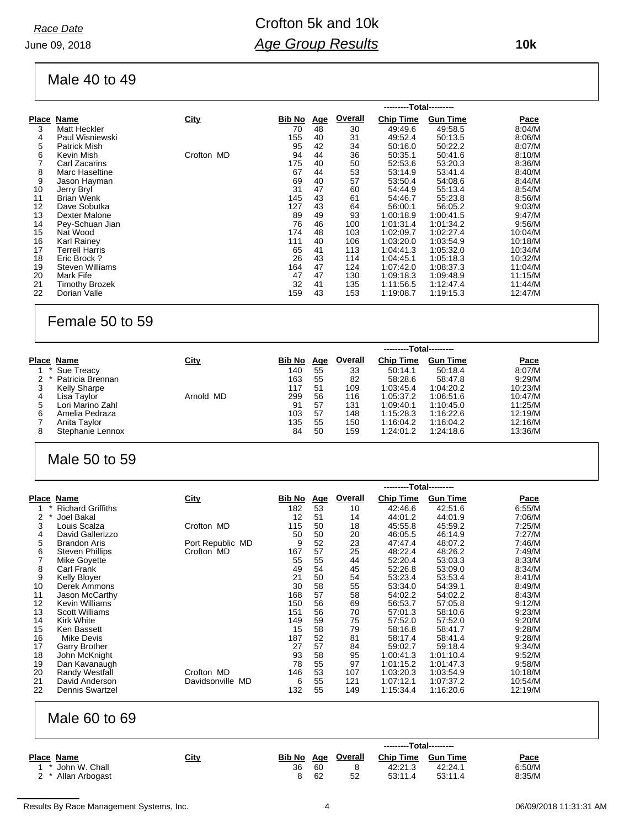June 09, 2018 *Race Date*

# Crofton 5k and 10k *Age Group Results*

Male 40 to 49

|       |                        |            | ---------Total--------- |            |                |                  |                 |         |  |
|-------|------------------------|------------|-------------------------|------------|----------------|------------------|-----------------|---------|--|
| Place | Name                   | City       | <u>Bib No</u>           | <u>Age</u> | <b>Overall</b> | <b>Chip Time</b> | <b>Gun Time</b> | Pace    |  |
| 3     | <b>Matt Heckler</b>    |            | 70                      | 48         | 30             | 49:49.6          | 49:58.5         | 8:04/M  |  |
| 4     | Paul Wisniewski        |            | 155                     | 40         | 31             | 49:52.4          | 50:13.5         | 8:06/M  |  |
| 5     | Patrick Mish           |            | 95                      | 42         | 34             | 50:16.0          | 50:22.2         | 8:07/M  |  |
| 6     | Kevin Mish             | Crofton MD | 94                      | 44         | 36             | 50:35.1          | 50:41.6         | 8:10/M  |  |
|       | Carl Zacarins          |            | 175                     | 40         | 50             | 52:53.6          | 53:20.3         | 8:36/M  |  |
| 8     | Marc Haseltine         |            | 67                      | 44         | 53             | 53:14.9          | 53:41.4         | 8:40/M  |  |
| 9     | Jason Hayman           |            | 69                      | 40         | 57             | 53:50.4          | 54:08.6         | 8:44/M  |  |
| 10    | Jerry Bryl             |            | 31                      | 47         | 60             | 54:44.9          | 55:13.4         | 8:54/M  |  |
| 11    | <b>Brian Wenk</b>      |            | 145                     | 43         | 61             | 54:46.7          | 55:23.8         | 8:56/M  |  |
| 12    | Dave Sobutka           |            | 127                     | 43         | 64             | 56:00.1          | 56:05.2         | 9:03/M  |  |
| 13    | Dexter Malone          |            | 89                      | 49         | 93             | 1:00:18.9        | 1:00:41.5       | 9.47/M  |  |
| 14    | Pey-Schuan Jian        |            | 76                      | 46         | 100            | 1:01:31.4        | 1:01:34.2       | 9:56/M  |  |
| 15    | Nat Wood               |            | 174                     | 48         | 103            | 1:02:09.7        | 1:02:27.4       | 10:04/M |  |
| 16    | <b>Karl Rainey</b>     |            | 111                     | 40         | 106            | 1:03:20.0        | 1.03.54.9       | 10:18/M |  |
| 17    | <b>Terrell Harris</b>  |            | 65                      | 41         | 113            | 1:04:41.3        | 1:05:32.0       | 10:34/M |  |
| 18    | Eric Brock?            |            | 26                      | 43         | 114            | 1:04:45.1        | 1:05:18.3       | 10:32/M |  |
| 19    | <b>Steven Williams</b> |            | 164                     | 47         | 124            | 1:07:42.0        | 1:08:37.3       | 11:04/M |  |
| 20    | Mark Fife              |            | 47                      | 47         | 130            | 1:09:18.3        | 1:09:48.9       | 11:15/M |  |
| 21    | <b>Timothy Brozek</b>  |            | 32                      | 41         | 135            | 1:11:56.5        | 1:12:47.4       | 11:44/M |  |
| 22    | Dorian Valle           |            | 159                     | 43         | 153            | 1:19:08.7        | 1:19:15.3       | 12:47/M |  |

## Female 50 to 59

|   |                     |             |        | ---------Total--------- |                |                  |                 |         |  |  |  |  |
|---|---------------------|-------------|--------|-------------------------|----------------|------------------|-----------------|---------|--|--|--|--|
|   | Place Name          | <u>City</u> | Bib No | <u>Age</u>              | <b>Overall</b> | <b>Chip Time</b> | <b>Gun Time</b> | Pace    |  |  |  |  |
|   | Sue Treacy          |             | 140    | 55                      | 33             | 50:14.1          | 50:18.4         | 8:07/M  |  |  |  |  |
| 2 | Patricia Brennan    |             | 163    | 55                      | 82             | 58:28.6          | 58:47.8         | 9:29/M  |  |  |  |  |
|   | <b>Kelly Sharpe</b> |             | 117    | 51                      | 109            | 1:03:45.4        | 1:04:20.2       | 10:23/M |  |  |  |  |
| 4 | Lisa Taylor         | Arnold MD   | 299    | 56                      | 116            | 1:05:37.2        | 1.06.51.6       | 10:47/M |  |  |  |  |
| 5 | Lori Marino Zahl    |             | 91     | 57                      | 131            | 1:09:40.1        | 1:10:45.0       | 11:25/M |  |  |  |  |
| 6 | Amelia Pedraza      |             | 103    | 57                      | 148            | 1:15:28.3        | 1:16:22.6       | 12:19/M |  |  |  |  |
|   | Anita Tavlor        |             | 135    | 55                      | 150            | 1:16:04.2        | 1:16:04.2       | 12:16/M |  |  |  |  |
| 8 | Stephanie Lennox    |             | 84     | 50                      | 159            | 1:24:01.2        | 1:24:18.6       | 13:36/M |  |  |  |  |

### Male 50 to 59

|    |                          |                  | ---------Total--------- |            |                |                  |                 |         |  |
|----|--------------------------|------------------|-------------------------|------------|----------------|------------------|-----------------|---------|--|
|    | Place Name               | City             | <b>Bib No</b>           | <u>Age</u> | <b>Overall</b> | <b>Chip Time</b> | <b>Gun Time</b> | Pace    |  |
|    | <b>Richard Griffiths</b> |                  | 182                     | 53         | 10             | 42:46.6          | 42:51.6         | 6:55/M  |  |
| 2  | Joel Bakal               |                  | 12                      | 51         | 14             | 44:01.2          | 44:01.9         | 7:06/M  |  |
| 3  | Louis Scalza             | Crofton MD       | 115                     | 50         | 18             | 45:55.8          | 45:59.2         | 7:25/M  |  |
| 4  | David Gallerizzo         |                  | 50                      | 50         | 20             | 46:05.5          | 46:14.9         | 7:27/M  |  |
| 5  | <b>Brandon Aris</b>      | Port Republic MD | 9                       | 52         | 23             | 47:47.4          | 48:07.2         | 7:46/M  |  |
| 6  | <b>Steven Phillips</b>   | Crofton MD       | 167                     | 57         | 25             | 48:22.4          | 48:26.2         | 7:49/M  |  |
|    | Mike Goyette             |                  | 55                      | 55         | 44             | 52:20.4          | 53:03.3         | 8:33/M  |  |
| 8  | Carl Frank               |                  | 49                      | 54         | 45             | 52:26.8          | 53:09.0         | 8:34/M  |  |
| 9  | Kelly Bloyer             |                  | 21                      | 50         | 54             | 53:23.4          | 53:53.4         | 8:41/M  |  |
| 10 | Derek Ammons             |                  | 30                      | 58         | 55             | 53:34.0          | 54:39.1         | 8:49/M  |  |
| 11 | Jason McCarthy           |                  | 168                     | 57         | 58             | 54:02.2          | 54:02.2         | 8:43/M  |  |
| 12 | <b>Kevin Williams</b>    |                  | 150                     | 56         | 69             | 56:53.7          | 57:05.8         | 9:12/M  |  |
| 13 | <b>Scott Williams</b>    |                  | 151                     | 56         | 70             | 57:01.3          | 58:10.6         | 9:23/M  |  |
| 14 | Kirk White               |                  | 149                     | 59         | 75             | 57:52.0          | 57:52.0         | 9:20/M  |  |
| 15 | Ken Bassett              |                  | 15                      | 58         | 79             | 58:16.8          | 58:41.7         | 9:28/M  |  |
| 16 | Mike Devis               |                  | 187                     | 52         | 81             | 58:17.4          | 58:41.4         | 9:28/M  |  |
| 17 | Garry Brother            |                  | 27                      | 57         | 84             | 59:02.7          | 59:18.4         | 9:34/M  |  |
| 18 | John McKnight            |                  | 93                      | 58         | 95             | 1:00:41.3        | 1:01:10.4       | 9:52/M  |  |
| 19 | Dan Kavanaugh            |                  | 78                      | 55         | 97             | 1:01:15.2        | 1:01:47.3       | 9:58/M  |  |
| 20 | <b>Randy Westfall</b>    | Crofton MD       | 146                     | 53         | 107            | 1:03:20.3        | 1:03:54.9       | 10:18/M |  |
| 21 | David Anderson           | Davidsonville MD | 6                       | 55         | 121            | 1:07:12.1        | 1:07:37.2       | 10:54/M |  |
| 22 | <b>Dennis Swartzel</b>   |                  | 132                     | 55         | 149            | 1:15:34.4        | 1:16:20.6       | 12:19/M |  |
|    |                          |                  |                         |            |                |                  |                 |         |  |

### Male 60 to 69

|                    |      | ---------Total--------- |     |         |                  |                 |             |
|--------------------|------|-------------------------|-----|---------|------------------|-----------------|-------------|
| Place Name         | City | Bib No Age              |     | Overall | <b>Chip Time</b> | <b>Gun Time</b> | <b>Pace</b> |
| * John W. Chall    |      | 36                      | 60  |         | 42:21.3          | 42:24.1         | 6:50/M      |
| 2 * Allan Arbogast |      | 8                       | -62 | 52      | 53:11.4          | 53:11.4         | 8:35/M      |